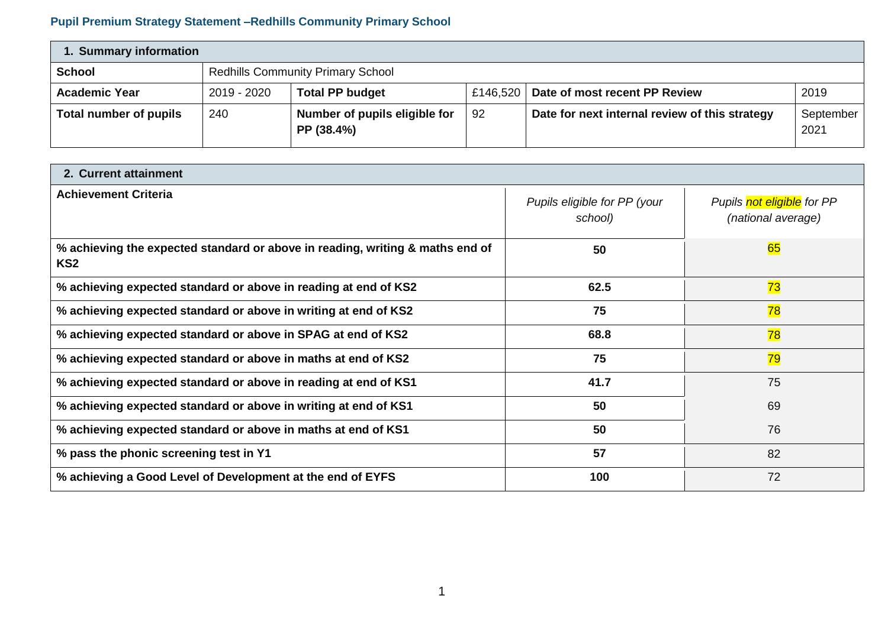## **Pupil Premium Strategy Statement –Redhills Community Primary School**

| 1. Summary information |                                                                                            |                                             |    |                                                |                   |  |  |  |
|------------------------|--------------------------------------------------------------------------------------------|---------------------------------------------|----|------------------------------------------------|-------------------|--|--|--|
| <b>School</b>          | <b>Redhills Community Primary School</b>                                                   |                                             |    |                                                |                   |  |  |  |
| <b>Academic Year</b>   | <b>Total PP budget</b><br>Date of most recent PP Review<br>2019 - 2020<br>2019<br>£146,520 |                                             |    |                                                |                   |  |  |  |
| Total number of pupils | 240                                                                                        | Number of pupils eligible for<br>PP (38.4%) | 92 | Date for next internal review of this strategy | September<br>2021 |  |  |  |

| 2. Current attainment                                                                            |                                         |                                                  |  |  |  |  |  |
|--------------------------------------------------------------------------------------------------|-----------------------------------------|--------------------------------------------------|--|--|--|--|--|
| <b>Achievement Criteria</b>                                                                      | Pupils eligible for PP (your<br>school) | Pupils not eligible for PP<br>(national average) |  |  |  |  |  |
| % achieving the expected standard or above in reading, writing & maths end of<br>KS <sub>2</sub> | 50                                      | 65                                               |  |  |  |  |  |
| % achieving expected standard or above in reading at end of KS2                                  | 62.5                                    | 73                                               |  |  |  |  |  |
| % achieving expected standard or above in writing at end of KS2                                  | 75                                      | 78                                               |  |  |  |  |  |
| % achieving expected standard or above in SPAG at end of KS2                                     | 68.8                                    | 78                                               |  |  |  |  |  |
| % achieving expected standard or above in maths at end of KS2                                    | 75                                      | 79                                               |  |  |  |  |  |
| % achieving expected standard or above in reading at end of KS1                                  | 41.7                                    | 75                                               |  |  |  |  |  |
| % achieving expected standard or above in writing at end of KS1                                  | 50                                      | 69                                               |  |  |  |  |  |
| % achieving expected standard or above in maths at end of KS1                                    | 50                                      | 76                                               |  |  |  |  |  |
| % pass the phonic screening test in Y1                                                           | 57                                      | 82                                               |  |  |  |  |  |
| % achieving a Good Level of Development at the end of EYFS                                       | 100                                     | 72                                               |  |  |  |  |  |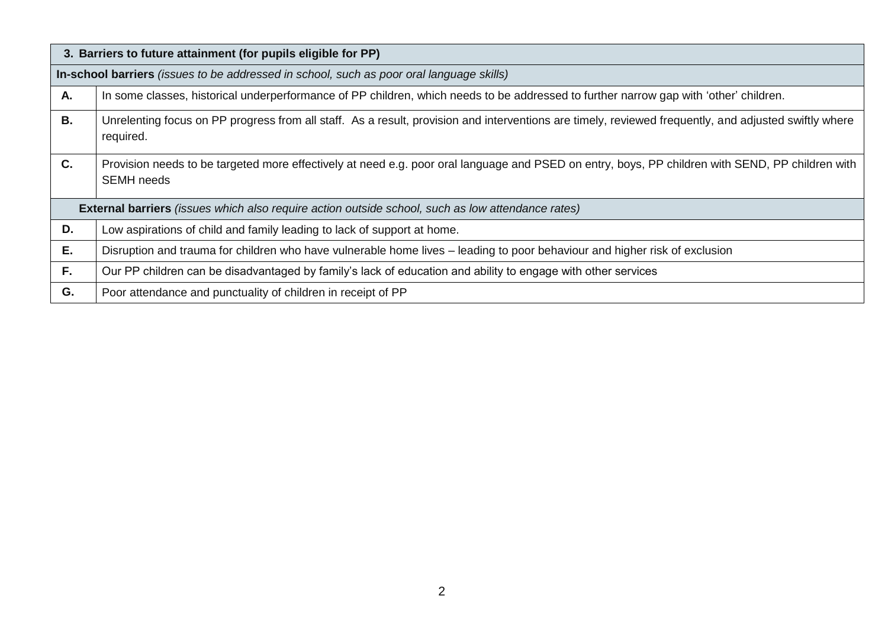|    | 3. Barriers to future attainment (for pupils eligible for PP)                                                                                                         |  |  |  |  |  |  |
|----|-----------------------------------------------------------------------------------------------------------------------------------------------------------------------|--|--|--|--|--|--|
|    | In-school barriers (issues to be addressed in school, such as poor oral language skills)                                                                              |  |  |  |  |  |  |
| Α. | In some classes, historical underperformance of PP children, which needs to be addressed to further narrow gap with 'other' children.                                 |  |  |  |  |  |  |
| В. | Unrelenting focus on PP progress from all staff. As a result, provision and interventions are timely, reviewed frequently, and adjusted swiftly where<br>required.    |  |  |  |  |  |  |
| C. | Provision needs to be targeted more effectively at need e.g. poor oral language and PSED on entry, boys, PP children with SEND, PP children with<br><b>SEMH</b> needs |  |  |  |  |  |  |
|    | <b>External barriers</b> (issues which also require action outside school, such as low attendance rates)                                                              |  |  |  |  |  |  |
| D. | Low aspirations of child and family leading to lack of support at home.                                                                                               |  |  |  |  |  |  |
| Ε. | Disruption and trauma for children who have vulnerable home lives - leading to poor behaviour and higher risk of exclusion                                            |  |  |  |  |  |  |
| F. | Our PP children can be disadvantaged by family's lack of education and ability to engage with other services                                                          |  |  |  |  |  |  |
| G. | Poor attendance and punctuality of children in receipt of PP                                                                                                          |  |  |  |  |  |  |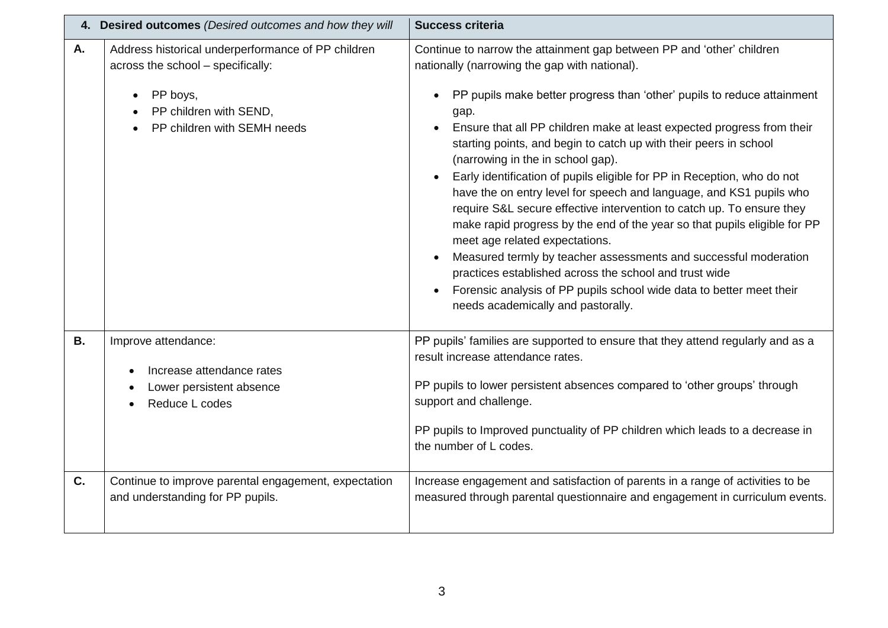|           | 4. Desired outcomes (Desired outcomes and how they will                                                                                                                   | <b>Success criteria</b>                                                                                                                                                                                                                                                                                                                                                                                                                                                                                                                                                                                                                                                                                                                                                                                                                                                                                                                                                                                                    |
|-----------|---------------------------------------------------------------------------------------------------------------------------------------------------------------------------|----------------------------------------------------------------------------------------------------------------------------------------------------------------------------------------------------------------------------------------------------------------------------------------------------------------------------------------------------------------------------------------------------------------------------------------------------------------------------------------------------------------------------------------------------------------------------------------------------------------------------------------------------------------------------------------------------------------------------------------------------------------------------------------------------------------------------------------------------------------------------------------------------------------------------------------------------------------------------------------------------------------------------|
| A.        | Address historical underperformance of PP children<br>across the school - specifically:<br>PP boys,<br>$\bullet$<br>PP children with SEND,<br>PP children with SEMH needs | Continue to narrow the attainment gap between PP and 'other' children<br>nationally (narrowing the gap with national).<br>PP pupils make better progress than 'other' pupils to reduce attainment<br>$\bullet$<br>gap.<br>Ensure that all PP children make at least expected progress from their<br>$\bullet$<br>starting points, and begin to catch up with their peers in school<br>(narrowing in the in school gap).<br>Early identification of pupils eligible for PP in Reception, who do not<br>$\bullet$<br>have the on entry level for speech and language, and KS1 pupils who<br>require S&L secure effective intervention to catch up. To ensure they<br>make rapid progress by the end of the year so that pupils eligible for PP<br>meet age related expectations.<br>Measured termly by teacher assessments and successful moderation<br>practices established across the school and trust wide<br>Forensic analysis of PP pupils school wide data to better meet their<br>needs academically and pastorally. |
| <b>B.</b> | Improve attendance:<br>Increase attendance rates<br>Lower persistent absence<br>Reduce L codes                                                                            | PP pupils' families are supported to ensure that they attend regularly and as a<br>result increase attendance rates.<br>PP pupils to lower persistent absences compared to 'other groups' through<br>support and challenge.<br>PP pupils to Improved punctuality of PP children which leads to a decrease in<br>the number of L codes.                                                                                                                                                                                                                                                                                                                                                                                                                                                                                                                                                                                                                                                                                     |
| C.        | Continue to improve parental engagement, expectation<br>and understanding for PP pupils.                                                                                  | Increase engagement and satisfaction of parents in a range of activities to be<br>measured through parental questionnaire and engagement in curriculum events.                                                                                                                                                                                                                                                                                                                                                                                                                                                                                                                                                                                                                                                                                                                                                                                                                                                             |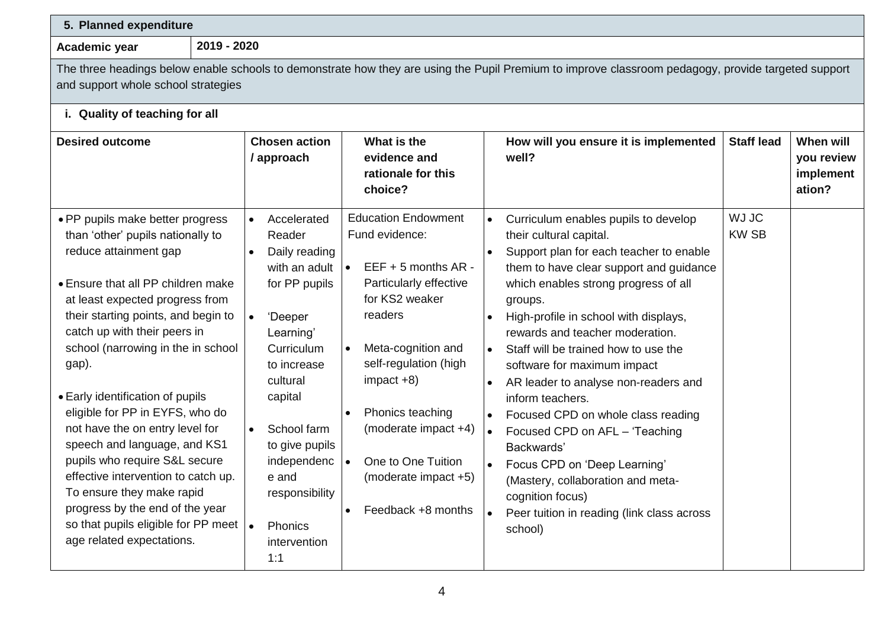|                                                                                                                                                                                                                                                                                                                                                                                                                                                                                                                                                                                                                                                                           | 2019 - 2020                                                                                                                                                                                                                                                                    |                                                                                                                                                                                                                                                                                                                                                                 |                                                                                                                                                                                                                                                                                                                                                                                                                                                                                                                                                                                                                                                                              |                             |                                                |  |  |  |
|---------------------------------------------------------------------------------------------------------------------------------------------------------------------------------------------------------------------------------------------------------------------------------------------------------------------------------------------------------------------------------------------------------------------------------------------------------------------------------------------------------------------------------------------------------------------------------------------------------------------------------------------------------------------------|--------------------------------------------------------------------------------------------------------------------------------------------------------------------------------------------------------------------------------------------------------------------------------|-----------------------------------------------------------------------------------------------------------------------------------------------------------------------------------------------------------------------------------------------------------------------------------------------------------------------------------------------------------------|------------------------------------------------------------------------------------------------------------------------------------------------------------------------------------------------------------------------------------------------------------------------------------------------------------------------------------------------------------------------------------------------------------------------------------------------------------------------------------------------------------------------------------------------------------------------------------------------------------------------------------------------------------------------------|-----------------------------|------------------------------------------------|--|--|--|
| Academic year<br>and support whole school strategies                                                                                                                                                                                                                                                                                                                                                                                                                                                                                                                                                                                                                      |                                                                                                                                                                                                                                                                                |                                                                                                                                                                                                                                                                                                                                                                 | The three headings below enable schools to demonstrate how they are using the Pupil Premium to improve classroom pedagogy, provide targeted support                                                                                                                                                                                                                                                                                                                                                                                                                                                                                                                          |                             |                                                |  |  |  |
| i. Quality of teaching for all                                                                                                                                                                                                                                                                                                                                                                                                                                                                                                                                                                                                                                            |                                                                                                                                                                                                                                                                                |                                                                                                                                                                                                                                                                                                                                                                 |                                                                                                                                                                                                                                                                                                                                                                                                                                                                                                                                                                                                                                                                              |                             |                                                |  |  |  |
| <b>Desired outcome</b>                                                                                                                                                                                                                                                                                                                                                                                                                                                                                                                                                                                                                                                    | <b>Chosen action</b><br>/ approach                                                                                                                                                                                                                                             | What is the<br>evidence and<br>rationale for this<br>choice?                                                                                                                                                                                                                                                                                                    | How will you ensure it is implemented<br>well?                                                                                                                                                                                                                                                                                                                                                                                                                                                                                                                                                                                                                               | <b>Staff lead</b>           | When will<br>you review<br>implement<br>ation? |  |  |  |
| · PP pupils make better progress<br>than 'other' pupils nationally to<br>reduce attainment gap<br>• Ensure that all PP children make<br>at least expected progress from<br>their starting points, and begin to<br>catch up with their peers in<br>school (narrowing in the in school<br>gap).<br>• Early identification of pupils<br>eligible for PP in EYFS, who do<br>not have the on entry level for<br>speech and language, and KS1<br>pupils who require S&L secure<br>effective intervention to catch up.<br>To ensure they make rapid<br>progress by the end of the year<br>so that pupils eligible for PP meet $\vert \bullet \vert$<br>age related expectations. | Accelerated<br>$\bullet$<br>Reader<br>Daily reading<br>with an adult<br>for PP pupils<br>'Deeper<br>Learning'<br>Curriculum<br>to increase<br>cultural<br>capital<br>School farm<br>to give pupils<br>independenc<br>e and<br>responsibility<br>Phonics<br>intervention<br>1:1 | <b>Education Endowment</b><br>Fund evidence:<br>$EEF + 5$ months AR -<br>$\bullet$<br>Particularly effective<br>for KS2 weaker<br>readers<br>Meta-cognition and<br>self-regulation (high<br>$impact +8)$<br>Phonics teaching<br>$\bullet$<br>(moderate impact +4)<br>One to One Tuition<br>$\bullet$<br>(moderate impact +5)<br>Feedback +8 months<br>$\bullet$ | Curriculum enables pupils to develop<br>their cultural capital.<br>Support plan for each teacher to enable<br>them to have clear support and guidance<br>which enables strong progress of all<br>groups.<br>High-profile in school with displays,<br>rewards and teacher moderation.<br>Staff will be trained how to use the<br>$\bullet$<br>software for maximum impact<br>AR leader to analyse non-readers and<br>inform teachers.<br>Focused CPD on whole class reading<br>Focused CPD on AFL - 'Teaching<br>Backwards'<br>Focus CPD on 'Deep Learning'<br>(Mastery, collaboration and meta-<br>cognition focus)<br>Peer tuition in reading (link class across<br>school) | <b>WJ JC</b><br><b>KWSB</b> |                                                |  |  |  |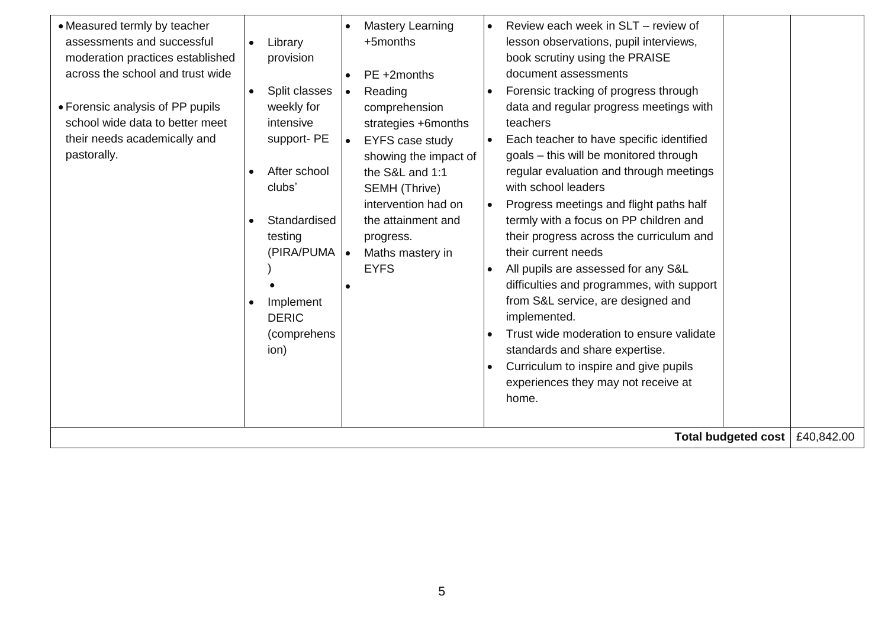| • Measured termly by teacher     |           |               |           | Mastery Learning       | $\bullet$ | Review each week in SLT - review of       |                     |            |
|----------------------------------|-----------|---------------|-----------|------------------------|-----------|-------------------------------------------|---------------------|------------|
| assessments and successful       |           | Library       |           | +5months               |           | lesson observations, pupil interviews,    |                     |            |
| moderation practices established |           | provision     |           |                        |           | book scrutiny using the PRAISE            |                     |            |
| across the school and trust wide |           |               |           | PE +2months            |           | document assessments                      |                     |            |
|                                  | $\bullet$ | Split classes | $\bullet$ | Reading                |           | Forensic tracking of progress through     |                     |            |
| • Forensic analysis of PP pupils |           | weekly for    |           | comprehension          |           | data and regular progress meetings with   |                     |            |
| school wide data to better meet  |           | intensive     |           | strategies +6months    |           | teachers                                  |                     |            |
| their needs academically and     |           | support-PE    | $\bullet$ | <b>EYFS case study</b> |           | Each teacher to have specific identified  |                     |            |
| pastorally.                      |           |               |           | showing the impact of  |           | goals - this will be monitored through    |                     |            |
|                                  |           | After school  |           | the S&L and 1:1        |           | regular evaluation and through meetings   |                     |            |
|                                  |           | clubs'        |           | SEMH (Thrive)          |           | with school leaders                       |                     |            |
|                                  |           |               |           | intervention had on    | $\bullet$ | Progress meetings and flight paths half   |                     |            |
|                                  |           | Standardised  |           | the attainment and     |           | termly with a focus on PP children and    |                     |            |
|                                  |           | testing       |           | progress.              |           | their progress across the curriculum and  |                     |            |
|                                  |           | (PIRA/PUMA  . |           | Maths mastery in       |           | their current needs                       |                     |            |
|                                  |           |               |           | <b>EYFS</b>            |           | All pupils are assessed for any S&L       |                     |            |
|                                  |           |               |           |                        |           | difficulties and programmes, with support |                     |            |
|                                  |           | Implement     |           |                        |           | from S&L service, are designed and        |                     |            |
|                                  |           | <b>DERIC</b>  |           |                        |           | implemented.                              |                     |            |
|                                  |           | (comprehens   |           |                        |           | Trust wide moderation to ensure validate  |                     |            |
|                                  |           | ion)          |           |                        |           | standards and share expertise.            |                     |            |
|                                  |           |               |           |                        |           |                                           |                     |            |
|                                  |           |               |           |                        |           | Curriculum to inspire and give pupils     |                     |            |
|                                  |           |               |           |                        |           | experiences they may not receive at       |                     |            |
|                                  |           |               |           |                        |           | home.                                     |                     |            |
|                                  |           |               |           |                        |           |                                           |                     |            |
|                                  |           |               |           |                        |           |                                           | Total budgeted cost | £40,842.00 |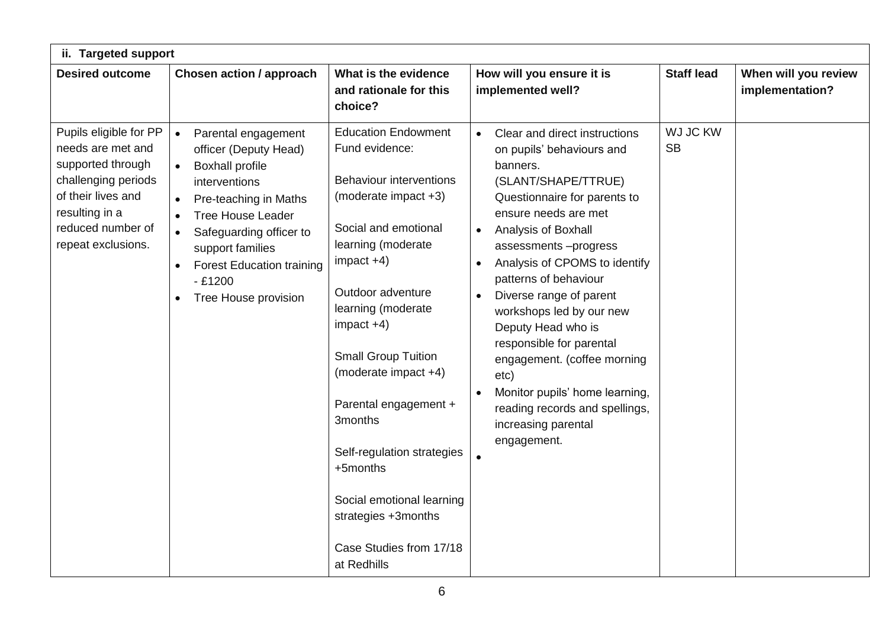| ii. Targeted support                                                                                                                                                       |                                                                                                                                                                                                                                                                                                                                                   |                                                                                                                                                                                                                                                                                                                                                                                                                                                                   |                                                                                                                                                                                                                                                                                                                                                                                                                                                                                                                                                                              |                       |                                         |  |  |  |  |  |  |
|----------------------------------------------------------------------------------------------------------------------------------------------------------------------------|---------------------------------------------------------------------------------------------------------------------------------------------------------------------------------------------------------------------------------------------------------------------------------------------------------------------------------------------------|-------------------------------------------------------------------------------------------------------------------------------------------------------------------------------------------------------------------------------------------------------------------------------------------------------------------------------------------------------------------------------------------------------------------------------------------------------------------|------------------------------------------------------------------------------------------------------------------------------------------------------------------------------------------------------------------------------------------------------------------------------------------------------------------------------------------------------------------------------------------------------------------------------------------------------------------------------------------------------------------------------------------------------------------------------|-----------------------|-----------------------------------------|--|--|--|--|--|--|
| <b>Desired outcome</b>                                                                                                                                                     | Chosen action / approach                                                                                                                                                                                                                                                                                                                          | What is the evidence<br>and rationale for this<br>choice?                                                                                                                                                                                                                                                                                                                                                                                                         | How will you ensure it is<br>implemented well?                                                                                                                                                                                                                                                                                                                                                                                                                                                                                                                               | <b>Staff lead</b>     | When will you review<br>implementation? |  |  |  |  |  |  |
| Pupils eligible for PP<br>needs are met and<br>supported through<br>challenging periods<br>of their lives and<br>resulting in a<br>reduced number of<br>repeat exclusions. | Parental engagement<br>$\bullet$<br>officer (Deputy Head)<br><b>Boxhall profile</b><br>interventions<br>Pre-teaching in Maths<br>$\bullet$<br><b>Tree House Leader</b><br>$\bullet$<br>Safeguarding officer to<br>$\bullet$<br>support families<br><b>Forest Education training</b><br>$\bullet$<br>$-£1200$<br>Tree House provision<br>$\bullet$ | <b>Education Endowment</b><br>Fund evidence:<br><b>Behaviour interventions</b><br>(moderate impact +3)<br>Social and emotional<br>learning (moderate<br>$impact +4)$<br>Outdoor adventure<br>learning (moderate<br>$impact +4)$<br><b>Small Group Tuition</b><br>(moderate impact +4)<br>Parental engagement +<br>3months<br>Self-regulation strategies<br>+5months<br>Social emotional learning<br>strategies +3months<br>Case Studies from 17/18<br>at Redhills | Clear and direct instructions<br>$\bullet$<br>on pupils' behaviours and<br>banners.<br>(SLANT/SHAPE/TTRUE)<br>Questionnaire for parents to<br>ensure needs are met<br>Analysis of Boxhall<br>$\bullet$<br>assessments-progress<br>Analysis of CPOMS to identify<br>$\bullet$<br>patterns of behaviour<br>Diverse range of parent<br>$\bullet$<br>workshops led by our new<br>Deputy Head who is<br>responsible for parental<br>engagement. (coffee morning<br>etc)<br>Monitor pupils' home learning,<br>reading records and spellings,<br>increasing parental<br>engagement. | WJ JC KW<br><b>SB</b> |                                         |  |  |  |  |  |  |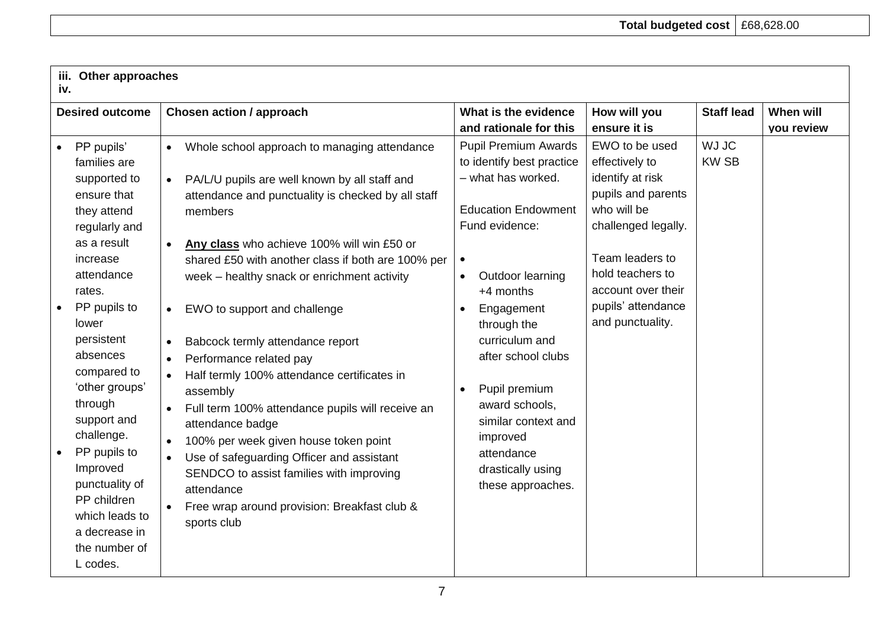| iv.                                                                                                                                                                                                                                                                                                                                                                                                   | iii. Other approaches                                                                                                                                                                                                                                                                                                                                                                                                                                                                                                                                                                                                                                                                                                                                                                                                               |                                                                                                                                                                                                                                                                                                                                                                                                                        |                                                                                                                                                                                                                         |                              |                                |  |  |  |  |
|-------------------------------------------------------------------------------------------------------------------------------------------------------------------------------------------------------------------------------------------------------------------------------------------------------------------------------------------------------------------------------------------------------|-------------------------------------------------------------------------------------------------------------------------------------------------------------------------------------------------------------------------------------------------------------------------------------------------------------------------------------------------------------------------------------------------------------------------------------------------------------------------------------------------------------------------------------------------------------------------------------------------------------------------------------------------------------------------------------------------------------------------------------------------------------------------------------------------------------------------------------|------------------------------------------------------------------------------------------------------------------------------------------------------------------------------------------------------------------------------------------------------------------------------------------------------------------------------------------------------------------------------------------------------------------------|-------------------------------------------------------------------------------------------------------------------------------------------------------------------------------------------------------------------------|------------------------------|--------------------------------|--|--|--|--|
| <b>Desired outcome</b>                                                                                                                                                                                                                                                                                                                                                                                | <b>Chosen action / approach</b>                                                                                                                                                                                                                                                                                                                                                                                                                                                                                                                                                                                                                                                                                                                                                                                                     | What is the evidence<br>and rationale for this                                                                                                                                                                                                                                                                                                                                                                         | How will you<br>ensure it is                                                                                                                                                                                            | <b>Staff lead</b>            | When will<br><b>vou review</b> |  |  |  |  |
| PP pupils'<br>families are<br>supported to<br>ensure that<br>they attend<br>regularly and<br>as a result<br>increase<br>attendance<br>rates.<br>PP pupils to<br>lower<br>persistent<br>absences<br>compared to<br>'other groups'<br>through<br>support and<br>challenge.<br>PP pupils to<br>Improved<br>punctuality of<br>PP children<br>which leads to<br>a decrease in<br>the number of<br>L codes. | Whole school approach to managing attendance<br>PA/L/U pupils are well known by all staff and<br>$\bullet$<br>attendance and punctuality is checked by all staff<br>members<br>Any class who achieve 100% will win £50 or<br>shared £50 with another class if both are 100% per<br>week - healthy snack or enrichment activity<br>EWO to support and challenge<br>$\bullet$<br>Babcock termly attendance report<br>$\bullet$<br>Performance related pay<br>$\bullet$<br>Half termly 100% attendance certificates in<br>assembly<br>Full term 100% attendance pupils will receive an<br>attendance badge<br>100% per week given house token point<br>$\bullet$<br>Use of safeguarding Officer and assistant<br>SENDCO to assist families with improving<br>attendance<br>Free wrap around provision: Breakfast club &<br>sports club | <b>Pupil Premium Awards</b><br>to identify best practice<br>- what has worked.<br><b>Education Endowment</b><br>Fund evidence:<br>$\bullet$<br>Outdoor learning<br>$\bullet$<br>+4 months<br>Engagement<br>$\bullet$<br>through the<br>curriculum and<br>after school clubs<br>Pupil premium<br>$\bullet$<br>award schools,<br>similar context and<br>improved<br>attendance<br>drastically using<br>these approaches. | EWO to be used<br>effectively to<br>identify at risk<br>pupils and parents<br>who will be<br>challenged legally.<br>Team leaders to<br>hold teachers to<br>account over their<br>pupils' attendance<br>and punctuality. | <b>WJ JC</b><br><b>KW SB</b> |                                |  |  |  |  |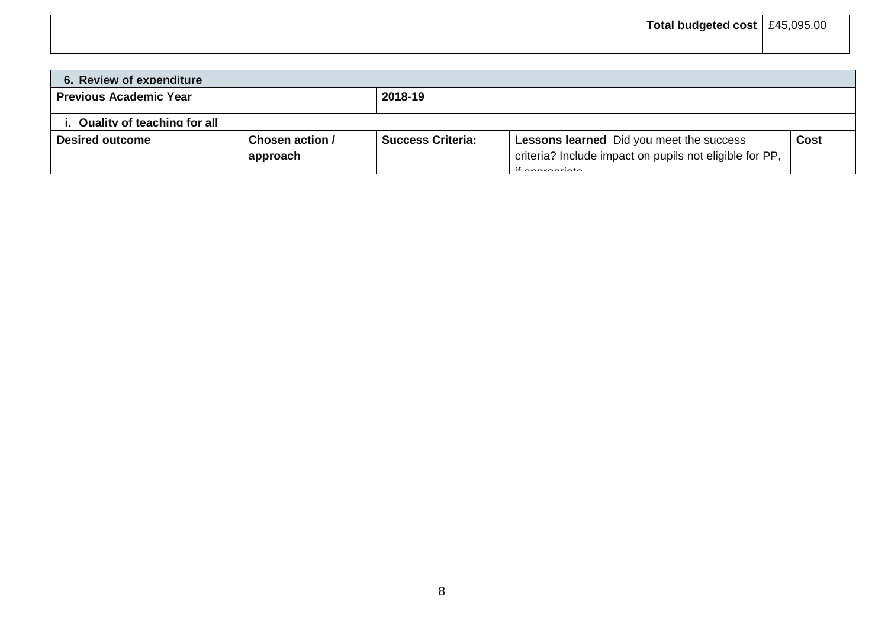| 6. Review of expenditure       |                             |                          |                                                                                                                                 |             |
|--------------------------------|-----------------------------|--------------------------|---------------------------------------------------------------------------------------------------------------------------------|-------------|
| <b>Previous Academic Year</b>  |                             | 2018-19                  |                                                                                                                                 |             |
| i. Quality of teaching for all |                             |                          |                                                                                                                                 |             |
| <b>Desired outcome</b>         | Chosen action /<br>approach | <b>Success Criteria:</b> | Lessons learned Did you meet the success<br>criteria? Include impact on pupils not eligible for PP,<br>$\mathcal{L}$ conversate | <b>Cost</b> |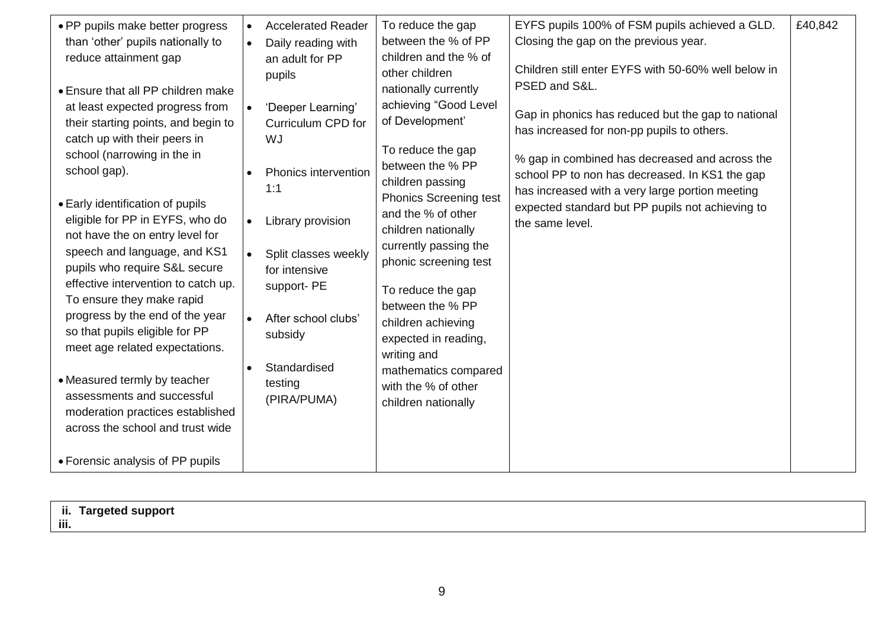| • PP pupils make better progress                                     | $\bullet$ | <b>Accelerated Reader</b> | To reduce the gap                     | EYFS pupils 100% of FSM pupils achieved a GLD.      | £40,842 |
|----------------------------------------------------------------------|-----------|---------------------------|---------------------------------------|-----------------------------------------------------|---------|
| than 'other' pupils nationally to                                    | $\bullet$ | Daily reading with        | between the % of PP                   | Closing the gap on the previous year.               |         |
| reduce attainment gap                                                |           | an adult for PP           | children and the % of                 |                                                     |         |
|                                                                      |           | pupils                    | other children                        | Children still enter EYFS with 50-60% well below in |         |
| • Ensure that all PP children make                                   |           |                           | nationally currently                  | PSED and S&L.                                       |         |
| at least expected progress from                                      | $\bullet$ | 'Deeper Learning'         | achieving "Good Level                 | Gap in phonics has reduced but the gap to national  |         |
| their starting points, and begin to                                  |           | Curriculum CPD for        | of Development'                       | has increased for non-pp pupils to others.          |         |
| catch up with their peers in                                         |           | WJ                        | To reduce the gap                     |                                                     |         |
| school (narrowing in the in                                          |           |                           | between the % PP                      | % gap in combined has decreased and across the      |         |
| school gap).                                                         |           | Phonics intervention      | children passing                      | school PP to non has decreased. In KS1 the gap      |         |
|                                                                      |           | 1:1                       | <b>Phonics Screening test</b>         | has increased with a very large portion meeting     |         |
| • Early identification of pupils<br>eligible for PP in EYFS, who do  |           |                           | and the % of other                    | expected standard but PP pupils not achieving to    |         |
| not have the on entry level for                                      | $\bullet$ | Library provision         | children nationally                   | the same level.                                     |         |
| speech and language, and KS1                                         | $\bullet$ | Split classes weekly      | currently passing the                 |                                                     |         |
| pupils who require S&L secure                                        |           | for intensive             | phonic screening test                 |                                                     |         |
| effective intervention to catch up.                                  |           | support-PE                |                                       |                                                     |         |
| To ensure they make rapid                                            |           |                           | To reduce the gap<br>between the % PP |                                                     |         |
| progress by the end of the year                                      |           | After school clubs'       | children achieving                    |                                                     |         |
| so that pupils eligible for PP                                       |           | subsidy                   | expected in reading,                  |                                                     |         |
| meet age related expectations.                                       |           |                           | writing and                           |                                                     |         |
|                                                                      | $\bullet$ | Standardised              | mathematics compared                  |                                                     |         |
| • Measured termly by teacher                                         |           | testing                   | with the % of other                   |                                                     |         |
| assessments and successful                                           |           | (PIRA/PUMA)               | children nationally                   |                                                     |         |
| moderation practices established<br>across the school and trust wide |           |                           |                                       |                                                     |         |
|                                                                      |           |                           |                                       |                                                     |         |
| • Forensic analysis of PP pupils                                     |           |                           |                                       |                                                     |         |
|                                                                      |           |                           |                                       |                                                     |         |

| ii.<br>iii. | ii. Targeted support |
|-------------|----------------------|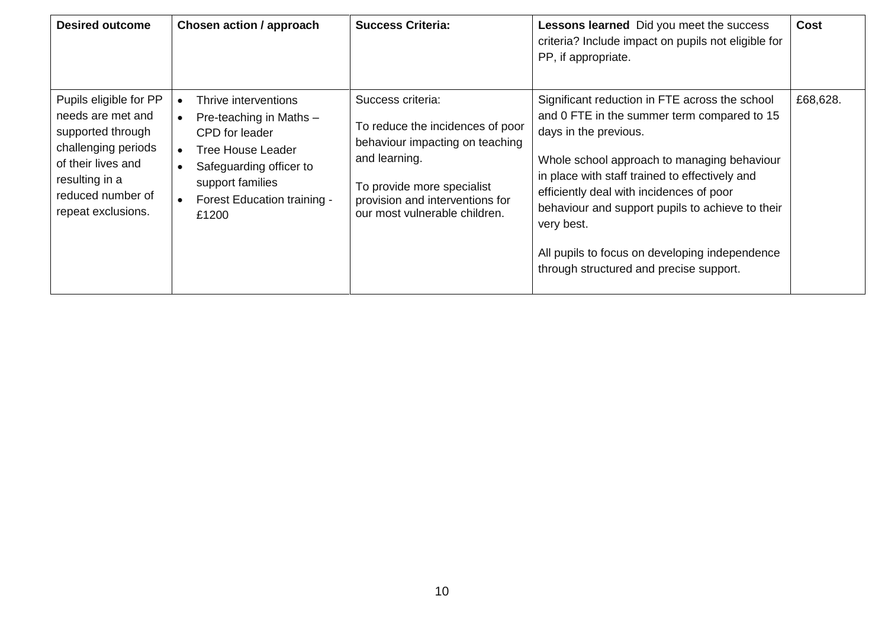| <b>Desired outcome</b>                                                                                                                                                     | <b>Chosen action / approach</b>                                                                                                                                                      | <b>Success Criteria:</b>                                                                                                                                                                                    | Lessons learned Did you meet the success<br>criteria? Include impact on pupils not eligible for<br>PP, if appropriate.                                                                                                                                                                                                                                                                                                             | <b>Cost</b> |
|----------------------------------------------------------------------------------------------------------------------------------------------------------------------------|--------------------------------------------------------------------------------------------------------------------------------------------------------------------------------------|-------------------------------------------------------------------------------------------------------------------------------------------------------------------------------------------------------------|------------------------------------------------------------------------------------------------------------------------------------------------------------------------------------------------------------------------------------------------------------------------------------------------------------------------------------------------------------------------------------------------------------------------------------|-------------|
| Pupils eligible for PP<br>needs are met and<br>supported through<br>challenging periods<br>of their lives and<br>resulting in a<br>reduced number of<br>repeat exclusions. | Thrive interventions<br>Pre-teaching in Maths -<br>CPD for leader<br><b>Tree House Leader</b><br>Safeguarding officer to<br>support families<br>Forest Education training -<br>£1200 | Success criteria:<br>To reduce the incidences of poor<br>behaviour impacting on teaching<br>and learning.<br>To provide more specialist<br>provision and interventions for<br>our most vulnerable children. | Significant reduction in FTE across the school<br>and 0 FTE in the summer term compared to 15<br>days in the previous.<br>Whole school approach to managing behaviour<br>in place with staff trained to effectively and<br>efficiently deal with incidences of poor<br>behaviour and support pupils to achieve to their<br>very best.<br>All pupils to focus on developing independence<br>through structured and precise support. | £68,628.    |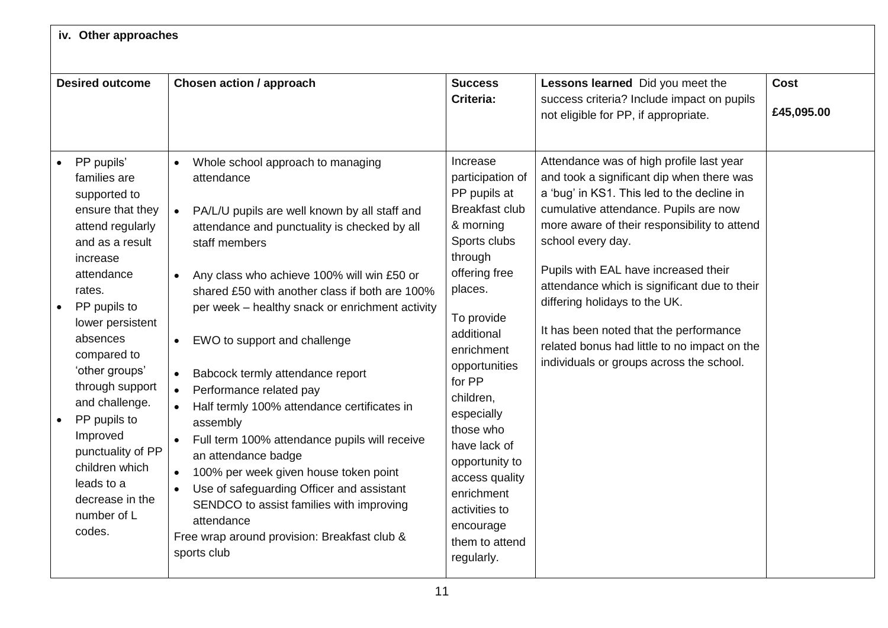| iv. Other approaches                                                                                                                                                                                                                                                                                                                                                                         |                                                                                                                                                                                                                                                                                                                                                                                                                                                                                                                                                                                                                                                                                                                                                                                                                                                                                            |                                                                                                                                                                                                                                                                                                                                                                                        |                                                                                                                                                                                                                                                                                                                                                                                                                                                                                                                  |                           |
|----------------------------------------------------------------------------------------------------------------------------------------------------------------------------------------------------------------------------------------------------------------------------------------------------------------------------------------------------------------------------------------------|--------------------------------------------------------------------------------------------------------------------------------------------------------------------------------------------------------------------------------------------------------------------------------------------------------------------------------------------------------------------------------------------------------------------------------------------------------------------------------------------------------------------------------------------------------------------------------------------------------------------------------------------------------------------------------------------------------------------------------------------------------------------------------------------------------------------------------------------------------------------------------------------|----------------------------------------------------------------------------------------------------------------------------------------------------------------------------------------------------------------------------------------------------------------------------------------------------------------------------------------------------------------------------------------|------------------------------------------------------------------------------------------------------------------------------------------------------------------------------------------------------------------------------------------------------------------------------------------------------------------------------------------------------------------------------------------------------------------------------------------------------------------------------------------------------------------|---------------------------|
|                                                                                                                                                                                                                                                                                                                                                                                              |                                                                                                                                                                                                                                                                                                                                                                                                                                                                                                                                                                                                                                                                                                                                                                                                                                                                                            |                                                                                                                                                                                                                                                                                                                                                                                        |                                                                                                                                                                                                                                                                                                                                                                                                                                                                                                                  |                           |
| <b>Desired outcome</b>                                                                                                                                                                                                                                                                                                                                                                       | <b>Chosen action / approach</b>                                                                                                                                                                                                                                                                                                                                                                                                                                                                                                                                                                                                                                                                                                                                                                                                                                                            | <b>Success</b><br><b>Criteria:</b>                                                                                                                                                                                                                                                                                                                                                     | Lessons learned Did you meet the<br>success criteria? Include impact on pupils<br>not eligible for PP, if appropriate.                                                                                                                                                                                                                                                                                                                                                                                           | <b>Cost</b><br>£45,095.00 |
| PP pupils'<br>families are<br>supported to<br>ensure that they<br>attend regularly<br>and as a result<br>increase<br>attendance<br>rates.<br>PP pupils to<br>lower persistent<br>absences<br>compared to<br>'other groups'<br>through support<br>and challenge.<br>PP pupils to<br>Improved<br>punctuality of PP<br>children which<br>leads to a<br>decrease in the<br>number of L<br>codes. | Whole school approach to managing<br>$\bullet$<br>attendance<br>PA/L/U pupils are well known by all staff and<br>$\bullet$<br>attendance and punctuality is checked by all<br>staff members<br>Any class who achieve 100% will win £50 or<br>$\bullet$<br>shared £50 with another class if both are 100%<br>per week - healthy snack or enrichment activity<br>EWO to support and challenge<br>$\bullet$<br>Babcock termly attendance report<br>$\bullet$<br>Performance related pay<br>$\bullet$<br>Half termly 100% attendance certificates in<br>$\bullet$<br>assembly<br>Full term 100% attendance pupils will receive<br>an attendance badge<br>100% per week given house token point<br>$\bullet$<br>Use of safeguarding Officer and assistant<br>$\bullet$<br>SENDCO to assist families with improving<br>attendance<br>Free wrap around provision: Breakfast club &<br>sports club | Increase<br>participation of<br>PP pupils at<br><b>Breakfast club</b><br>& morning<br>Sports clubs<br>through<br>offering free<br>places.<br>To provide<br>additional<br>enrichment<br>opportunities<br>for PP<br>children,<br>especially<br>those who<br>have lack of<br>opportunity to<br>access quality<br>enrichment<br>activities to<br>encourage<br>them to attend<br>regularly. | Attendance was of high profile last year<br>and took a significant dip when there was<br>a 'bug' in KS1. This led to the decline in<br>cumulative attendance. Pupils are now<br>more aware of their responsibility to attend<br>school every day.<br>Pupils with EAL have increased their<br>attendance which is significant due to their<br>differing holidays to the UK.<br>It has been noted that the performance<br>related bonus had little to no impact on the<br>individuals or groups across the school. |                           |

 $\Gamma$